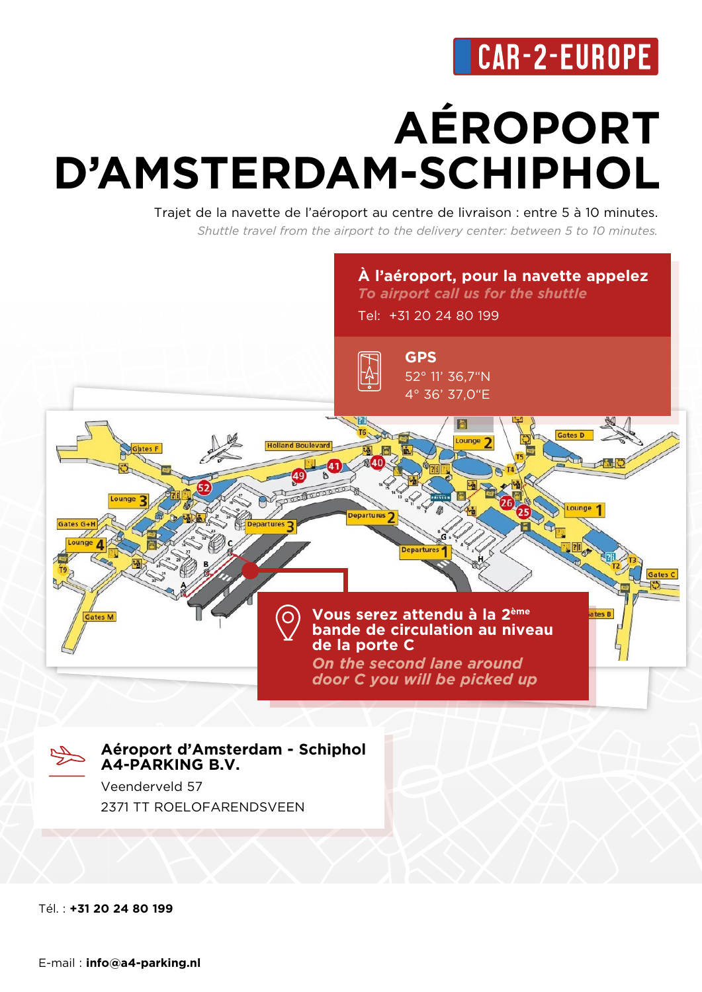# **AÉROPORT D'AMSTERDAM-SCHIPHOL**

Trajet de la navette de l'aéroport au centre de livraison : entre 5 à 10 minutes. *Shuttle travel from the airport to the delivery center: between 5 to 10 minutes.*



Tél. : **+31 20 24 80 199**

E-mail : **info@a4-parking.nl**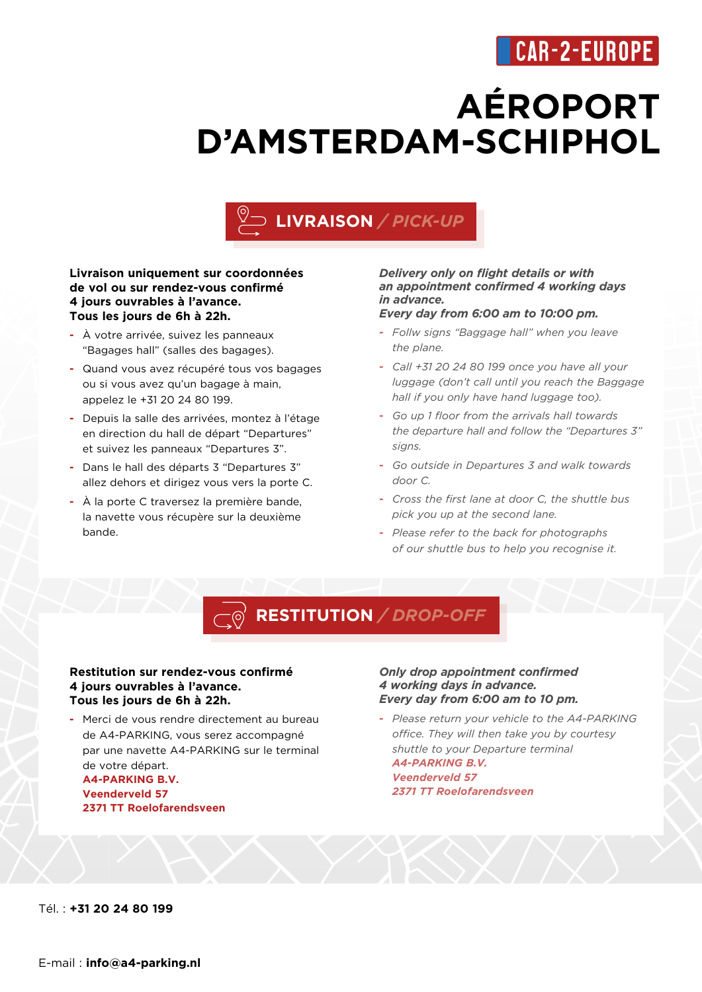## **AÉROPORT D'AMSTERDAM-SCHIPHOL**

### **LIVRAISON** */ PICK-UP*

### **Livraison uniquement sur coordonnées de vol ou sur rendez-vous confirmé 4 jours ouvrables à l'avance. Tous les jours de 6h à 22h.**

- **-** À votre arrivée, suivez les panneaux "Bagages hall" (salles des bagages).
- **-** Quand vous avez récupéré tous vos bagages ou si vous avez qu'un bagage à main, appelez le +31 20 24 80 199.
- **-** Depuis la salle des arrivées, montez à l'étage en direction du hall de départ "Departures" et suivez les panneaux "Departures 3".
- **-** Dans le hall des départs 3 "Departures 3" allez dehors et dirigez vous vers la porte C.
- **-** À la porte C traversez la première bande, la navette vous récupère sur la deuxième bande.

### *Delivery only on flight details or with an appointment confirmed 4 working days in advance.*

### *Every day from 6:00 am to 10:00 pm.*

- **-** *Follw signs "Baggage hall" when you leave the plane.*
- **-** *Call +31 20 24 80 199 once you have all your luggage (don't call until you reach the Baggage hall if you only have hand luggage too).*
- **-** *Go up 1 floor from the arrivals hall towards the departure hall and follow the "Departures 3" signs.*
- **-** *Go outside in Departures 3 and walk towards door C.*
- **-** *Cross the first lane at door C, the shuttle bus pick you up at the second lane.*
- **-** *Please refer to the back for photographs of our shuttle bus to help you recognise it.*

#### **RESTITUTION** */ DROP-OFF*  $\overline{\bigcirc}$

#### **Restitution sur rendez-vous confirmé 4 jours ouvrables à l'avance. Tous les jours de 6h à 22h.**

**-** Merci de vous rendre directement au bureau de A4-PARKING, vous serez accompagné par une navette A4-PARKING sur le terminal de votre départ. **A4-PARKING B.V. Veenderveld 57 2371 TT Roelofarendsveen**

#### *Only drop appointment confirmed 4 working days in advance. Every day from 6:00 am to 10 pm.*

**-** *Please return your vehicle to the A4-PARKING office. They will then take you by courtesy shuttle to your Departure terminal A4-PARKING B.V. Veenderveld 57 2371 TT Roelofarendsveen*

Tél. : **+31 20 24 80 199**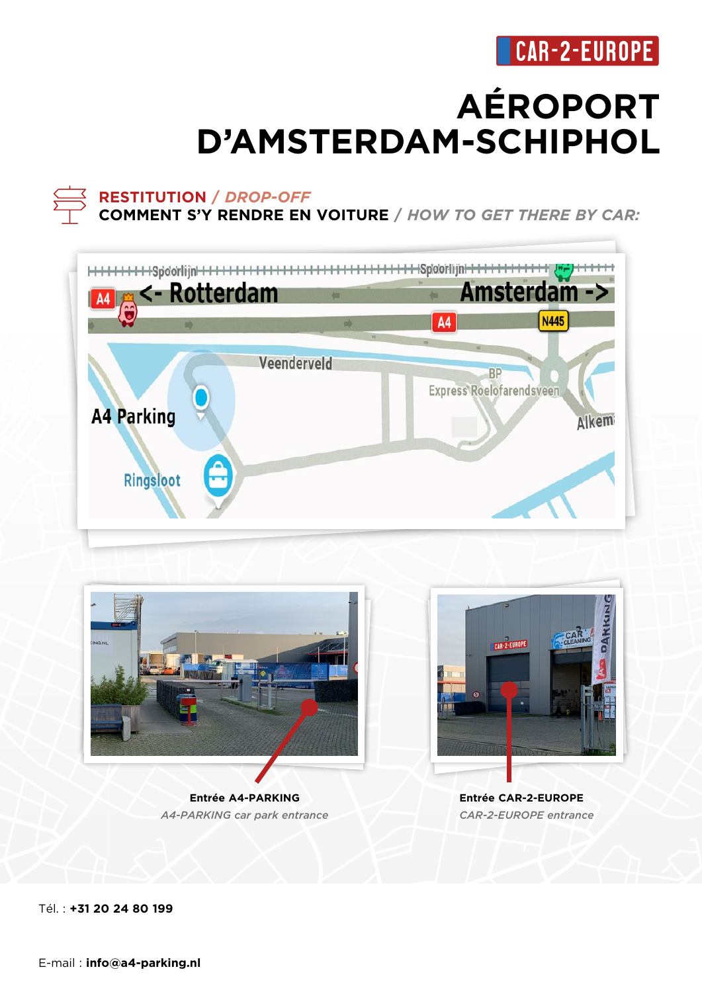## **AÉROPORT D'AMSTERDAM-SCHIPHOL**

### **RESTITUTION /** *DROP-OFF*

**COMMENT S'Y RENDRE EN VOITURE /** *HOW TO GET THERE BY CAR:* 





*A4-PARKING car park entrance*

**Entrée CAR-2-EUROPE**  *CAR-2-EUROPE entrance*

Tél. : **+31 20 24 80 199**